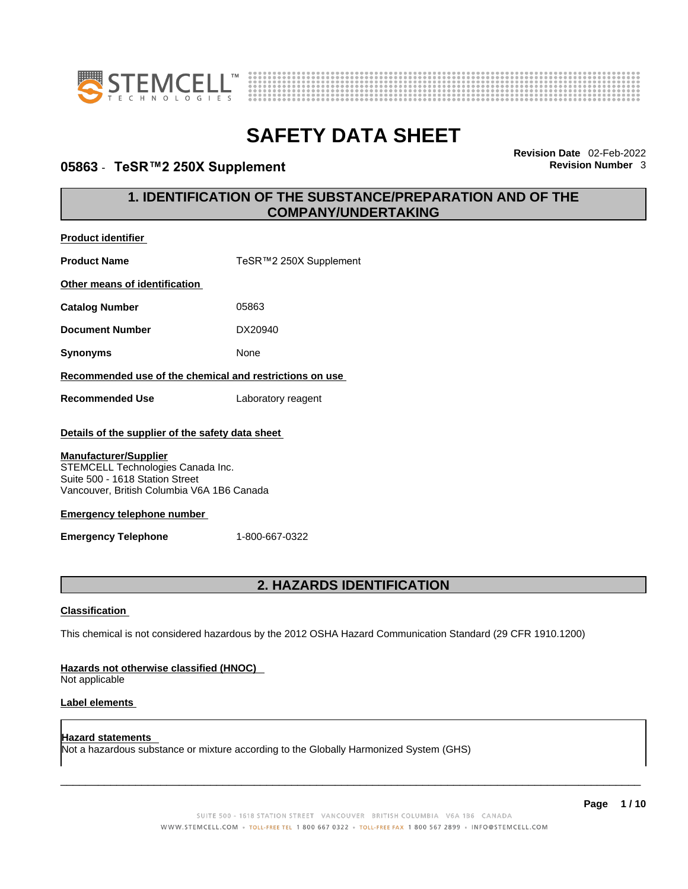



### **05863** - **TeSR™2 250X Supplement Revision Number** 3

**Revision Date** 02-Feb-2022

### **1. IDENTIFICATION OF THE SUBSTANCE/PREPARATION AND OF THE COMPANY/UNDERTAKING**

| <b>Product identifier</b>                                                                                                                          |                                                                                                             |  |  |  |  |
|----------------------------------------------------------------------------------------------------------------------------------------------------|-------------------------------------------------------------------------------------------------------------|--|--|--|--|
| <b>Product Name</b>                                                                                                                                | TeSR™2 250X Supplement                                                                                      |  |  |  |  |
| Other means of identification                                                                                                                      |                                                                                                             |  |  |  |  |
| <b>Catalog Number</b>                                                                                                                              | 05863                                                                                                       |  |  |  |  |
| <b>Document Number</b>                                                                                                                             | DX20940                                                                                                     |  |  |  |  |
| <b>Synonyms</b>                                                                                                                                    | None                                                                                                        |  |  |  |  |
| Recommended use of the chemical and restrictions on use                                                                                            |                                                                                                             |  |  |  |  |
| <b>Recommended Use</b>                                                                                                                             | Laboratory reagent                                                                                          |  |  |  |  |
| Details of the supplier of the safety data sheet                                                                                                   |                                                                                                             |  |  |  |  |
| <b>Manufacturer/Supplier</b><br>STEMCELL Technologies Canada Inc.<br>Suite 500 - 1618 Station Street<br>Vancouver, British Columbia V6A 1B6 Canada |                                                                                                             |  |  |  |  |
| <b>Emergency telephone number</b>                                                                                                                  |                                                                                                             |  |  |  |  |
| <b>Emergency Telephone</b>                                                                                                                         | 1-800-667-0322                                                                                              |  |  |  |  |
|                                                                                                                                                    |                                                                                                             |  |  |  |  |
|                                                                                                                                                    | 2. HAZARDS IDENTIFICATION                                                                                   |  |  |  |  |
| <b>Classification</b>                                                                                                                              |                                                                                                             |  |  |  |  |
|                                                                                                                                                    | This chemical is not considered hazardous by the 2012 OSHA Hazard Communication Standard (29 CFR 1910.1200) |  |  |  |  |
| Hazards not otherwise classified (HNOC)<br>Not applicable                                                                                          |                                                                                                             |  |  |  |  |

#### **Label elements**

**Hazard statements**  Not a hazardous substance or mixture according to the Globally Harmonized System (GHS)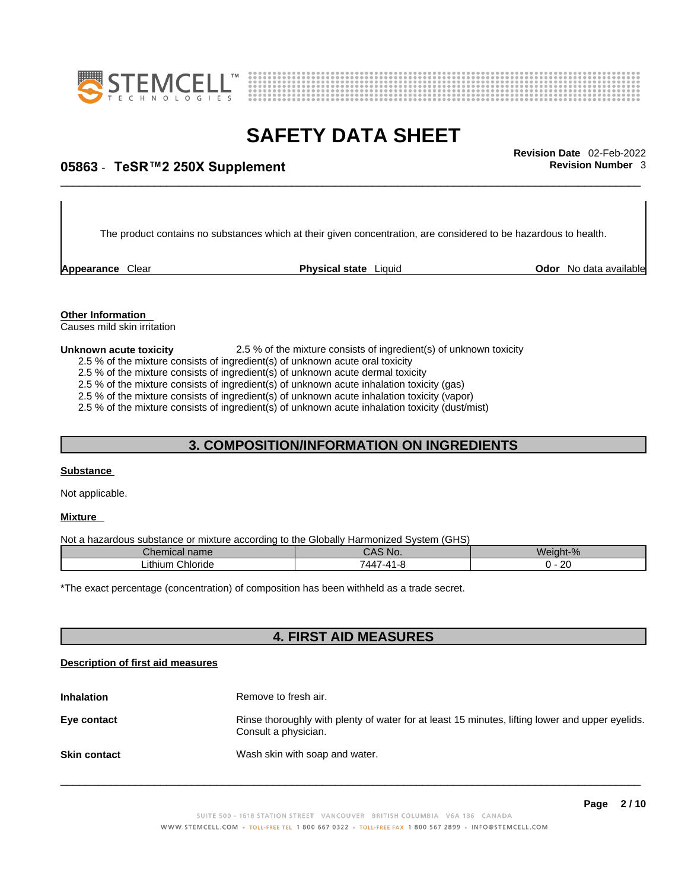



# \_\_\_\_\_\_\_\_\_\_\_\_\_\_\_\_\_\_\_\_\_\_\_\_\_\_\_\_\_\_\_\_\_\_\_\_\_\_\_\_\_\_\_\_\_\_\_\_\_\_\_\_\_\_\_\_\_\_\_\_\_\_\_\_\_\_\_\_\_\_\_\_\_\_\_\_\_\_\_\_\_\_\_\_\_\_\_\_\_\_\_\_\_ **Revision Date** 02-Feb-2022 **05863** - **TeSR™2 250X Supplement Revision Number** 3

The product contains no substances which at their given concentration, are considered to be hazardous to health.

**Appearance** Clear **Physical state** Liquid **Odor No data available Physical state** Liquid **Constantinent** 

**Other Information** 

Causes mild skin irritation

#### **Unknown acute toxicity** 2.5 % of the mixture consists of ingredient(s) of unknown toxicity

2.5 % of the mixture consists of ingredient(s) of unknown acute oral toxicity

2.5 % of the mixture consists of ingredient(s) of unknown acute dermal toxicity

2.5 % of the mixture consists of ingredient(s) of unknown acute inhalation toxicity (gas)

2.5 % of the mixture consists of ingredient(s) of unknown acute inhalation toxicity (vapor)

2.5 % of the mixture consists of ingredient(s) of unknown acute inhalation toxicity (dust/mist)

### **3. COMPOSITION/INFORMATION ON INGREDIENTS**

#### **Substance**

Not applicable.

#### **Mixture**

Not a hazardous substance or mixture according to the Globally Harmonized System (GHS)

| Chemical name       | CAS No.                      | Weight-%         |
|---------------------|------------------------------|------------------|
| Chloride<br>∟ithium | __<br>$\sqrt{2}$<br>'44<br>. | $\sim$<br>$\sim$ |

\*The exact percentage (concentration) of composition has been withheld as a trade secret.

#### **4. FIRST AID MEASURES**

#### **Description of first aid measures**

| <b>Inhalation</b>   | Remove to fresh air.                                                                                                    |
|---------------------|-------------------------------------------------------------------------------------------------------------------------|
| Eye contact         | Rinse thoroughly with plenty of water for at least 15 minutes, lifting lower and upper eyelids.<br>Consult a physician. |
| <b>Skin contact</b> | Wash skin with soap and water.                                                                                          |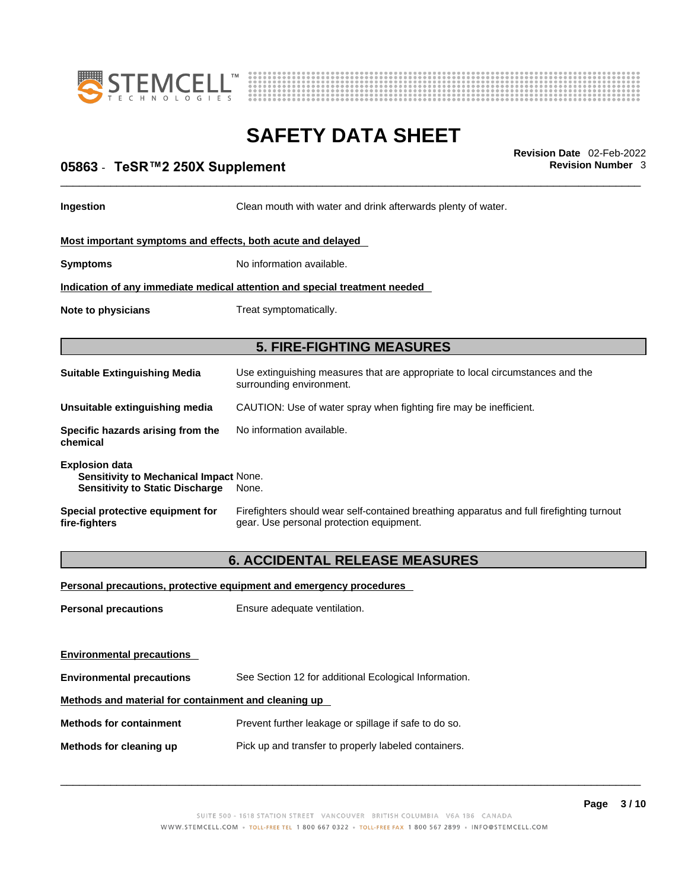



# \_\_\_\_\_\_\_\_\_\_\_\_\_\_\_\_\_\_\_\_\_\_\_\_\_\_\_\_\_\_\_\_\_\_\_\_\_\_\_\_\_\_\_\_\_\_\_\_\_\_\_\_\_\_\_\_\_\_\_\_\_\_\_\_\_\_\_\_\_\_\_\_\_\_\_\_\_\_\_\_\_\_\_\_\_\_\_\_\_\_\_\_\_ **Revision Date** 02-Feb-2022 **05863** - **TeSR™2 250X Supplement Revision Number** 3

**Ingestion Clean mouth with water and drink afterwards plenty of water.** 

#### **Most important symptoms and effects, both acute and delayed**

**Symptoms** No information available.

**Indication of any immediate medical attention and special treatment needed**

**Note to physicians** Treat symptomatically.

#### **5. FIRE-FIGHTING MEASURES**

| <b>Suitable Extinguishing Media</b>                                                                              | Use extinguishing measures that are appropriate to local circumstances and the<br>surrounding environment. |
|------------------------------------------------------------------------------------------------------------------|------------------------------------------------------------------------------------------------------------|
| Unsuitable extinguishing media                                                                                   | CAUTION: Use of water spray when fighting fire may be inefficient.                                         |
| Specific hazards arising from the<br>chemical                                                                    | No information available.                                                                                  |
| <b>Explosion data</b><br><b>Sensitivity to Mechanical Impact None.</b><br><b>Sensitivity to Static Discharge</b> | None.                                                                                                      |

**Special protective equipment for fire-fighters** Firefighters should wear self-contained breathing apparatus and full firefighting turnout gear. Use personal protection equipment.

#### **6. ACCIDENTAL RELEASE MEASURES**

#### **Personal precautions, protective equipment and emergency procedures**

**Personal precautions** Ensure adequate ventilation.

**Environmental precautions** 

**Environmental precautions** See Section 12 for additional Ecological Information.

#### **Methods and material for containment and cleaning up**

**Methods for containment** Prevent further leakage or spillage if safe to do so.

**Methods for cleaning up** Pick up and transfer to properly labeled containers.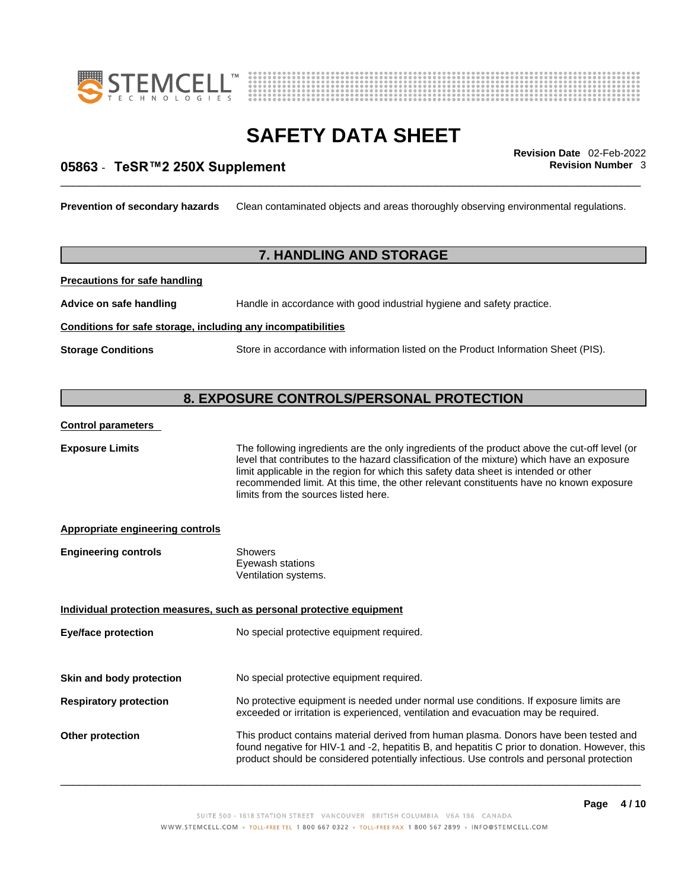



# \_\_\_\_\_\_\_\_\_\_\_\_\_\_\_\_\_\_\_\_\_\_\_\_\_\_\_\_\_\_\_\_\_\_\_\_\_\_\_\_\_\_\_\_\_\_\_\_\_\_\_\_\_\_\_\_\_\_\_\_\_\_\_\_\_\_\_\_\_\_\_\_\_\_\_\_\_\_\_\_\_\_\_\_\_\_\_\_\_\_\_\_\_ **Revision Date** 02-Feb-2022 **05863** - **TeSR™2 250X Supplement Revision Number** 3

**Prevention of secondary hazards** Clean contaminated objects and areas thoroughly observing environmental regulations.

#### **7. HANDLING AND STORAGE**

**Precautions for safe handling**

**Advice on safe handling** Handle in accordance with good industrial hygiene and safety practice.

#### **Conditions for safe storage, including any incompatibilities**

**Storage Conditions** Store in accordance with information listed on the Product Information Sheet (PIS).

#### **8. EXPOSURE CONTROLS/PERSONAL PROTECTION**

#### **Control parameters**

**Exposure Limits** The following ingredients are the only ingredients of the product above the cut-off level (or level that contributes to the hazard classification of the mixture) which have an exposure limit applicable in the region for which this safety data sheet is intended or other recommended limit. At this time, the other relevant constituents have no known exposure limits from the sources listed here.

#### **Appropriate engineering controls**

| <b>Engineering controls</b> | Showers              |  |
|-----------------------------|----------------------|--|
|                             | Eyewash stations     |  |
|                             | Ventilation systems. |  |

**Individual protection measures, such as personal protective equipment Eye/face protection** No special protective equipment required.

**Skin and body protection** No special protective equipment required.

- **Respiratory protection** No protective equipment is needed under normal use conditions. If exposure limits are exceeded or irritation is experienced, ventilation and evacuation may be required.
- **Other protection** This product contains material derived from human plasma. Donors have been tested and found negative for HIV-1 and -2, hepatitis B, and hepatitis C prior to donation. However, this product should be considered potentially infectious. Use controls and personal protection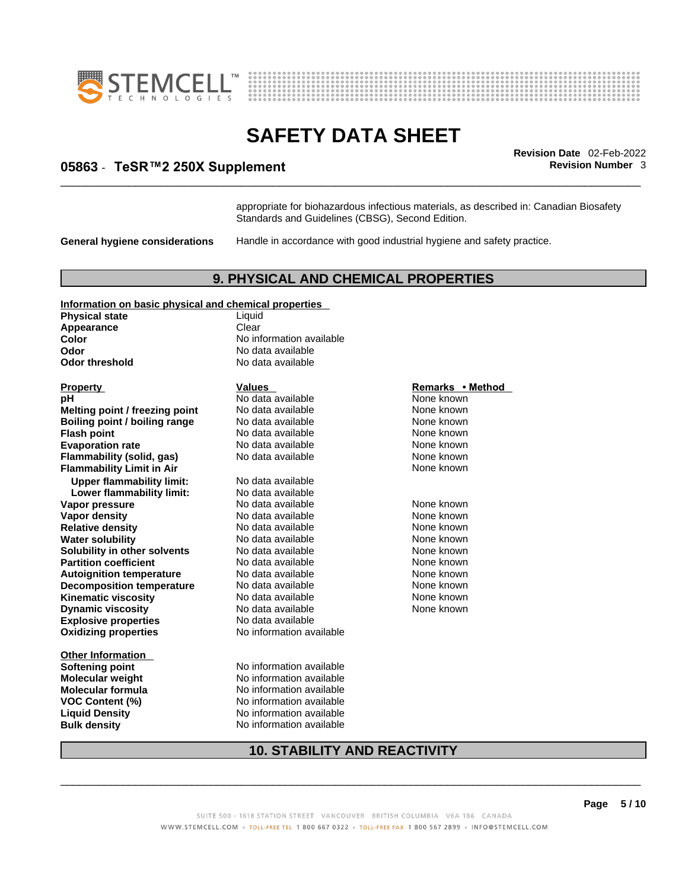



# \_\_\_\_\_\_\_\_\_\_\_\_\_\_\_\_\_\_\_\_\_\_\_\_\_\_\_\_\_\_\_\_\_\_\_\_\_\_\_\_\_\_\_\_\_\_\_\_\_\_\_\_\_\_\_\_\_\_\_\_\_\_\_\_\_\_\_\_\_\_\_\_\_\_\_\_\_\_\_\_\_\_\_\_\_\_\_\_\_\_\_\_\_ **Revision Date** 02-Feb-2022 **05863** - **TeSR™2 250X Supplement Revision Number** 3

appropriate for biohazardous infectious materials, as described in: Canadian Biosafety Standards and Guidelines (CBSG), Second Edition.

**General hygiene considerations** Handle in accordance with good industrial hygiene and safety practice.

#### **9. PHYSICAL AND CHEMICAL PROPERTIES**

#### **Information on basic physical and chemical properties**

**Physical state** Liquid **Appearance** Clear<br> **Color** No int **Color Color Color Color Color Color Color No** data available **Odor Odor threshold** No data available

**Explosive properties** No data available **Oxidizing properties** No information available **Property Construction Construction Construction Construction Property <b>Remarks** • **Method hH**<br> **Remarks** • **Method Note Algebra None known pH** No data available None known **Melting point / freezing point** No data available<br>**Boiling point / boiling range** No data available **Boiling point / boiling range No data available None Known None known Flash point**<br> **Flash point**<br> **Evaporation rate No data available** Mone known<br>
None known **Evaporation rate Cone Cone Access 10 and None Cone Access 10 and Access 10 and Report Report Report Report Report Report Report Report Report Report Report Report Report Report Report Report Report Report Report Report Flammability (solid, gas)** No data available None known<br> **Flammability Limit in Air** None Known **Flammability Limit in Air Upper flammability limit:** No data available **Lower flammability limit: Vapor pressure No data available None known** None known **Vapor density No data available None known Relative density No data available None known Water solubility <br>
<b>Water solubility n** other solvents Modata available None known<br>
None known **Solubility in other solvents** No data available **None known**<br> **Partition coefficient** No data available None known **Partition coefficient**<br> **Autoignition temperature**<br>
No data available<br>
None known **Autoignition temperature** No data available **None known**<br> **Decomposition temperature** No data available None known **Decomposition temperature** No data available None known **Kinematic viscosity No data available None known**<br> **None known**<br>
No data available **None known**<br>
None known **Dynamic viscosity** 

**Other Information Bulk density No information available** 

**Odor** No data available

**Softening point** No information available **Molecular weight** No information available **Molecular formula** No information available **VOC Content (%)** No information available **Liquid Density** No information available

None known

#### **10. STABILITY AND REACTIVITY**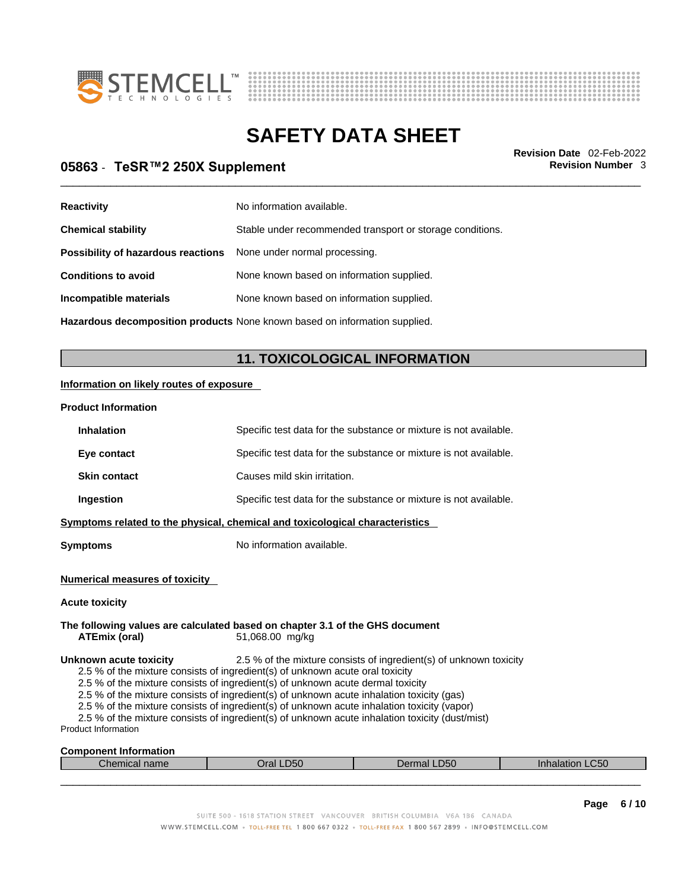



# \_\_\_\_\_\_\_\_\_\_\_\_\_\_\_\_\_\_\_\_\_\_\_\_\_\_\_\_\_\_\_\_\_\_\_\_\_\_\_\_\_\_\_\_\_\_\_\_\_\_\_\_\_\_\_\_\_\_\_\_\_\_\_\_\_\_\_\_\_\_\_\_\_\_\_\_\_\_\_\_\_\_\_\_\_\_\_\_\_\_\_\_\_ **Revision Date** 02-Feb-2022 **05863** - **TeSR™2 250X Supplement Revision Number** 3

| <b>Reactivity</b>                  | No information available.                                 |
|------------------------------------|-----------------------------------------------------------|
| <b>Chemical stability</b>          | Stable under recommended transport or storage conditions. |
| Possibility of hazardous reactions | None under normal processing.                             |
| <b>Conditions to avoid</b>         | None known based on information supplied.                 |
| Incompatible materials             | None known based on information supplied.                 |
|                                    |                                                           |

**Hazardous decomposition products** None known based on information supplied.

### **11. TOXICOLOGICAL INFORMATION**

#### **Information on likely routes of exposure**

#### **Product Information**

| PIUUUCL IIIIUI IIIduUII                                                                                                                                                                                                                                                                                                                                                                                                                                                                                                                                                                |                                                                              |                                                                   |                 |  |  |  |
|----------------------------------------------------------------------------------------------------------------------------------------------------------------------------------------------------------------------------------------------------------------------------------------------------------------------------------------------------------------------------------------------------------------------------------------------------------------------------------------------------------------------------------------------------------------------------------------|------------------------------------------------------------------------------|-------------------------------------------------------------------|-----------------|--|--|--|
| <b>Inhalation</b>                                                                                                                                                                                                                                                                                                                                                                                                                                                                                                                                                                      |                                                                              | Specific test data for the substance or mixture is not available. |                 |  |  |  |
| Eye contact                                                                                                                                                                                                                                                                                                                                                                                                                                                                                                                                                                            |                                                                              | Specific test data for the substance or mixture is not available. |                 |  |  |  |
| <b>Skin contact</b>                                                                                                                                                                                                                                                                                                                                                                                                                                                                                                                                                                    | Causes mild skin irritation.                                                 |                                                                   |                 |  |  |  |
| Ingestion                                                                                                                                                                                                                                                                                                                                                                                                                                                                                                                                                                              |                                                                              | Specific test data for the substance or mixture is not available. |                 |  |  |  |
|                                                                                                                                                                                                                                                                                                                                                                                                                                                                                                                                                                                        | Symptoms related to the physical, chemical and toxicological characteristics |                                                                   |                 |  |  |  |
| <b>Symptoms</b>                                                                                                                                                                                                                                                                                                                                                                                                                                                                                                                                                                        | No information available.                                                    |                                                                   |                 |  |  |  |
| <b>Numerical measures of toxicity</b><br><b>Acute toxicity</b><br>The following values are calculated based on chapter 3.1 of the GHS document<br>51,068.00 mg/kg<br>ATEmix (oral)                                                                                                                                                                                                                                                                                                                                                                                                     |                                                                              |                                                                   |                 |  |  |  |
| 2.5 % of the mixture consists of ingredient(s) of unknown toxicity<br>Unknown acute toxicity<br>2.5 % of the mixture consists of ingredient(s) of unknown acute oral toxicity<br>2.5 % of the mixture consists of ingredient(s) of unknown acute dermal toxicity<br>2.5 % of the mixture consists of ingredient(s) of unknown acute inhalation toxicity (gas)<br>2.5 % of the mixture consists of ingredient(s) of unknown acute inhalation toxicity (vapor)<br>2.5 % of the mixture consists of ingredient(s) of unknown acute inhalation toxicity (dust/mist)<br>Product Information |                                                                              |                                                                   |                 |  |  |  |
| <b>Component Information</b>                                                                                                                                                                                                                                                                                                                                                                                                                                                                                                                                                           |                                                                              |                                                                   |                 |  |  |  |
| Chemical name                                                                                                                                                                                                                                                                                                                                                                                                                                                                                                                                                                          | Oral LD50                                                                    | Dermal LD50                                                       | Inhalation LC50 |  |  |  |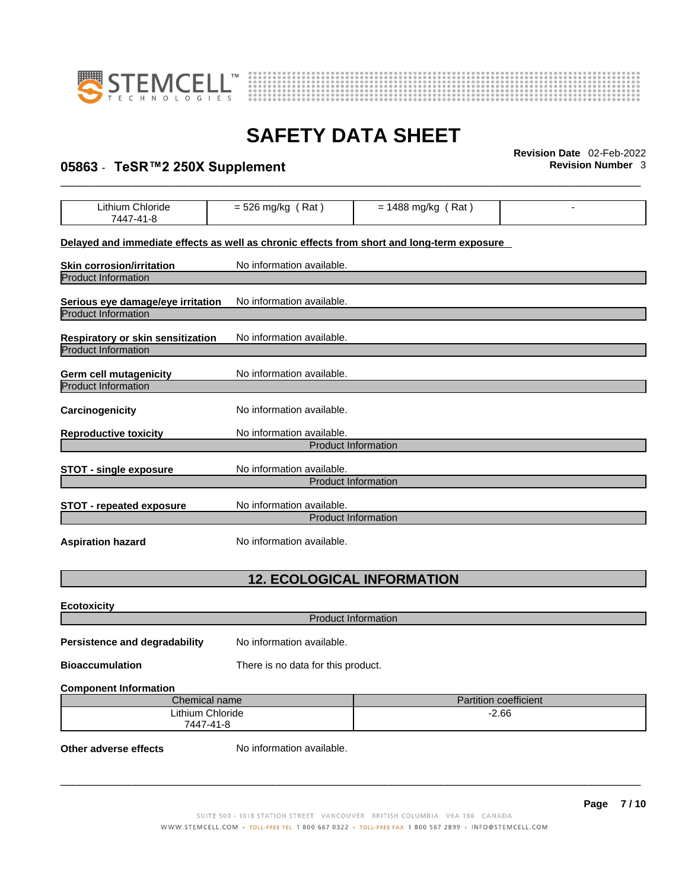



# \_\_\_\_\_\_\_\_\_\_\_\_\_\_\_\_\_\_\_\_\_\_\_\_\_\_\_\_\_\_\_\_\_\_\_\_\_\_\_\_\_\_\_\_\_\_\_\_\_\_\_\_\_\_\_\_\_\_\_\_\_\_\_\_\_\_\_\_\_\_\_\_\_\_\_\_\_\_\_\_\_\_\_\_\_\_\_\_\_\_\_\_\_ **Revision Date** 02-Feb-2022 **05863** - **TeSR™2 250X Supplement Revision Number** 3

| Lithium Chloride<br>7447-41-8                                                              | $= 526$ mg/kg (Rat)                                     | $= 1488$ mg/kg (Rat) |  |  |  |
|--------------------------------------------------------------------------------------------|---------------------------------------------------------|----------------------|--|--|--|
| Delayed and immediate effects as well as chronic effects from short and long-term exposure |                                                         |                      |  |  |  |
| <b>Skin corrosion/irritation</b><br><b>Product Information</b>                             | No information available.                               |                      |  |  |  |
| Serious eye damage/eye irritation<br><b>Product Information</b>                            | No information available.                               |                      |  |  |  |
| <b>Respiratory or skin sensitization</b><br><b>Product Information</b>                     | No information available.                               |                      |  |  |  |
| <b>Germ cell mutagenicity</b><br><b>Product Information</b>                                | No information available.                               |                      |  |  |  |
| Carcinogenicity                                                                            | No information available.                               |                      |  |  |  |
| No information available.<br><b>Reproductive toxicity</b><br><b>Product Information</b>    |                                                         |                      |  |  |  |
| <b>STOT - single exposure</b>                                                              | No information available.<br><b>Product Information</b> |                      |  |  |  |
| <b>STOT - repeated exposure</b>                                                            | No information available.<br><b>Product Information</b> |                      |  |  |  |
| <b>Aspiration hazard</b>                                                                   | No information available.                               |                      |  |  |  |
| <b>12. ECOLOGICAL INFORMATION</b>                                                          |                                                         |                      |  |  |  |
| <b>Ecotoxicity</b>                                                                         |                                                         |                      |  |  |  |
| <b>Product Information</b>                                                                 |                                                         |                      |  |  |  |
| Persistence and degradability                                                              | No information available.                               |                      |  |  |  |
| <b>Bioaccumulation</b>                                                                     | There is no data for this product.                      |                      |  |  |  |
| <b>Component Information</b>                                                               |                                                         |                      |  |  |  |
| Chemical name<br>Partition coefficient                                                     |                                                         |                      |  |  |  |
| <b>Lithium Chloride</b><br>$-2.66$<br>7447-41-8                                            |                                                         |                      |  |  |  |

**Other adverse effects** No information available.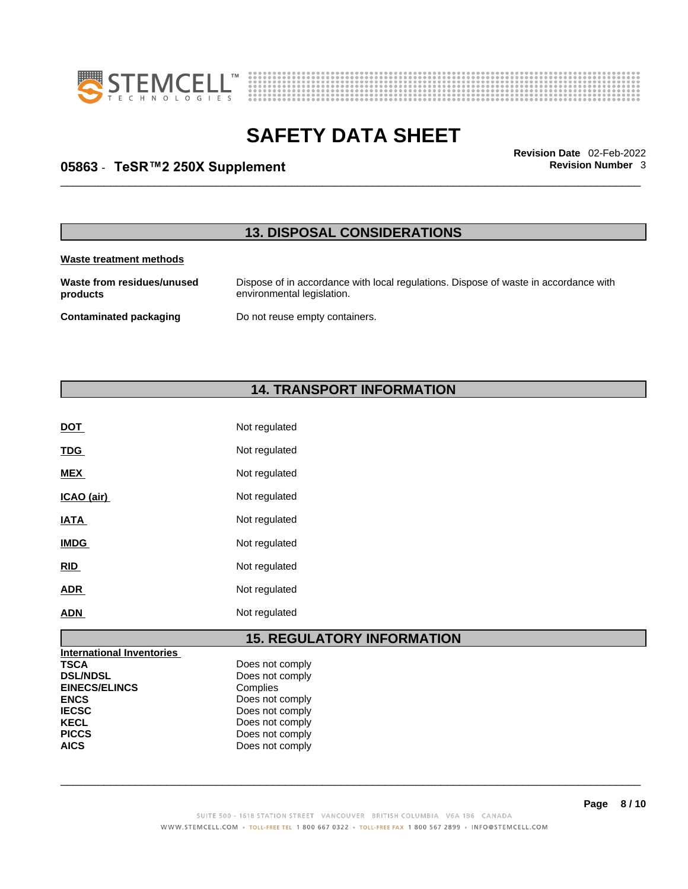



# \_\_\_\_\_\_\_\_\_\_\_\_\_\_\_\_\_\_\_\_\_\_\_\_\_\_\_\_\_\_\_\_\_\_\_\_\_\_\_\_\_\_\_\_\_\_\_\_\_\_\_\_\_\_\_\_\_\_\_\_\_\_\_\_\_\_\_\_\_\_\_\_\_\_\_\_\_\_\_\_\_\_\_\_\_\_\_\_\_\_\_\_\_ **Revision Date** 02-Feb-2022 **05863** - **TeSR™2 250X Supplement Revision Number** 3

### **13. DISPOSAL CONSIDERATIONS**

#### **Waste treatment methods**

**Waste from residues/unused products**  Dispose of in accordance with local regulations. Dispose of waste in accordance with environmental legislation. **Contaminated packaging** Do not reuse empty containers.

### **14. TRANSPORT INFORMATION**

| <b>DOT</b>  | Not regulated |
|-------------|---------------|
| <b>TDG</b>  | Not regulated |
| <b>MEX</b>  | Not regulated |
| ICAO (air)  | Not regulated |
| <b>IATA</b> | Not regulated |
| <b>IMDG</b> | Not regulated |
| <b>RID</b>  | Not regulated |
| <b>ADR</b>  | Not regulated |
| <b>ADN</b>  | Not regulated |

### **15. REGULATORY INFORMATION**

| International Inventories |                 |
|---------------------------|-----------------|
| <b>TSCA</b>               | Does not comply |
| <b>DSL/NDSL</b>           | Does not comply |
| <b>EINECS/ELINCS</b>      | Complies        |
| <b>ENCS</b>               | Does not comply |
| <b>IECSC</b>              | Does not comply |
| <b>KECL</b>               | Does not comply |
| <b>PICCS</b>              | Does not comply |
| <b>AICS</b>               | Does not comply |
|                           |                 |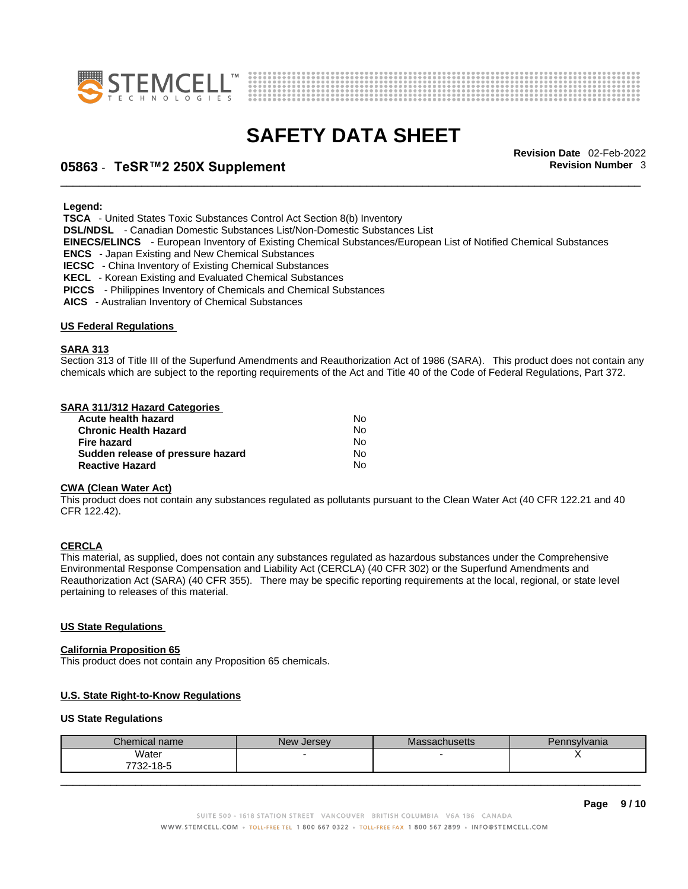



# \_\_\_\_\_\_\_\_\_\_\_\_\_\_\_\_\_\_\_\_\_\_\_\_\_\_\_\_\_\_\_\_\_\_\_\_\_\_\_\_\_\_\_\_\_\_\_\_\_\_\_\_\_\_\_\_\_\_\_\_\_\_\_\_\_\_\_\_\_\_\_\_\_\_\_\_\_\_\_\_\_\_\_\_\_\_\_\_\_\_\_\_\_ **Revision Date** 02-Feb-2022 **05863** - **TeSR™2 250X Supplement Revision Number** 3

 **Legend:** 

 **TSCA** - United States Toxic Substances Control Act Section 8(b) Inventory

 **DSL/NDSL** - Canadian Domestic Substances List/Non-Domestic Substances List

 **EINECS/ELINCS** - European Inventory of Existing Chemical Substances/European List of Notified Chemical Substances

 **ENCS** - Japan Existing and New Chemical Substances

 **IECSC** - China Inventory of Existing Chemical Substances

 **KECL** - Korean Existing and Evaluated Chemical Substances

 **PICCS** - Philippines Inventory of Chemicals and Chemical Substances

 **AICS** - Australian Inventory of Chemical Substances

#### **US Federal Regulations**

#### **SARA 313**

Section 313 of Title III of the Superfund Amendments and Reauthorization Act of 1986 (SARA). This product does not contain any chemicals which are subject to the reporting requirements of the Act and Title 40 of the Code of Federal Regulations, Part 372.

#### **SARA 311/312 Hazard Categories**

| Acute health hazard               | No  |  |
|-----------------------------------|-----|--|
| Chronic Health Hazard             | N٥  |  |
| Fire hazard                       | N٥  |  |
| Sudden release of pressure hazard | No. |  |
| <b>Reactive Hazard</b>            | Nο  |  |

#### **CWA (Clean WaterAct)**

This product does not contain any substances regulated as pollutants pursuant to the Clean Water Act (40 CFR 122.21 and 40 CFR 122.42).

#### **CERCLA**

This material, as supplied, does not contain any substances regulated as hazardous substances under the Comprehensive Environmental Response Compensation and Liability Act (CERCLA) (40 CFR 302) or the Superfund Amendments and Reauthorization Act (SARA) (40 CFR 355). There may be specific reporting requirements at the local, regional, or state level pertaining to releases of this material.

#### **US State Regulations**

#### **California Proposition 65**

This product does not contain any Proposition 65 chemicals.

#### **U.S. State Right-to-Know Regulations**

#### **US State Regulations**

| Chemical name      | New Jersev | achusetts | Pennsylvania |
|--------------------|------------|-----------|--------------|
| Water<br>7732-18-5 |            |           | ,,           |
|                    |            |           |              |